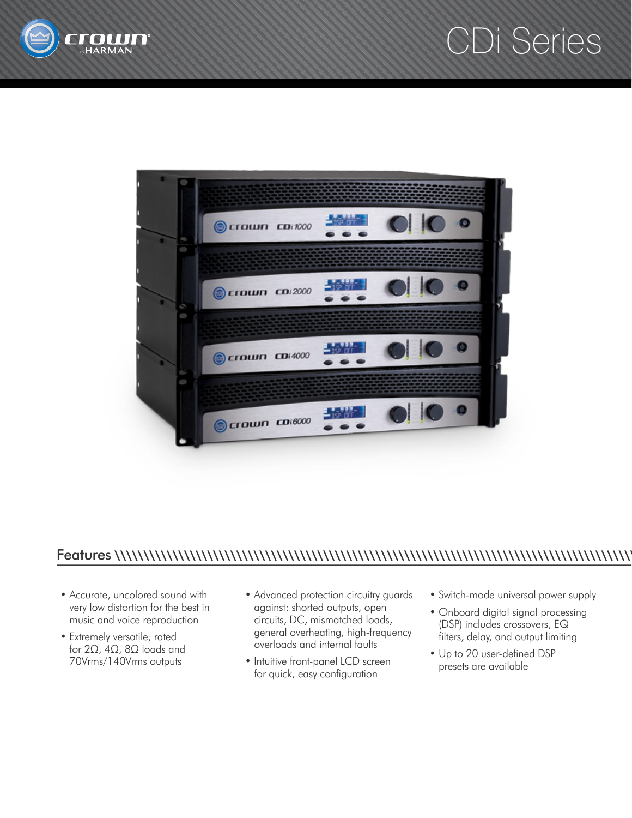

## CDi Series



## Features \\\\\\\\\\\\\\\\\\\\\\\\\\\\\\\\\\\\\\\\\\\\\\\\\\\\\\\\\\\\\\\\\\\\\\\\\\\\\\\\\\\\\\\\\\\

- Accurate, uncolored sound with very low distortion for the best in music and voice reproduction
- Extremely versatile; rated for 2Ω, 4Ω, 8Ω loads and 70Vrms/140Vrms outputs
- Advanced protection circuitry guards against: shorted outputs, open circuits, DC, mismatched loads, general overheating, high-frequency overloads and internal faults
- Intuitive front-panel LCD screen for quick, easy configuration
- Switch-mode universal power supply
- Onboard digital signal processing (DSP) includes crossovers, EQ filters, delay, and output limiting
- Up to 20 user-defined DSP presets are available